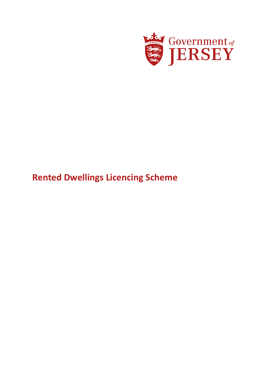

# **Rented Dwellings Licencing Scheme**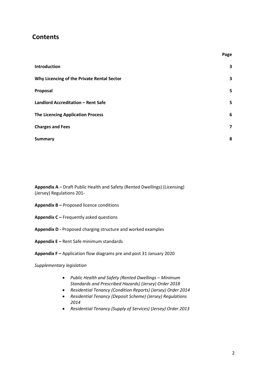### **Contents**

| <b>Introduction</b>                        | 3                       |
|--------------------------------------------|-------------------------|
| Why Licencing of the Private Rental Sector | 3                       |
| Proposal                                   | 5                       |
| <b>Landlord Accreditation - Rent Safe</b>  | 5                       |
| <b>The Licencing Application Process</b>   | 6                       |
| <b>Charges and Fees</b>                    | $\overline{\mathbf{z}}$ |
| <b>Summary</b>                             | 8                       |

**Appendix A** – Draft Public Health and Safety (Rented Dwellings) (Licensing) (Jersey) Regulations 201-

- **Appendix B –** Proposed licence conditions
- **Appendix C –** Frequently asked questions
- **Appendix D -** Proposed charging structure and worked examples
- **Appendix E –** Rent Safe minimum standards
- **Appendix F –** Application flow diagrams pre and post 31 January 2020

#### *Supplementary legislation*

- *Public Health and Safety (Rented Dwellings – Minimum Standards and Prescribed Hazards) (Jersey) Order 2018*
- *Residential Tenancy (Condition Reports) (Jersey) Order 2014*
- *Residential Tenancy (Deposit Scheme) (Jersey) Regulations 2014*
- *Residential Tenancy (Supply of Services) (Jersey) Order 2013*

**Page**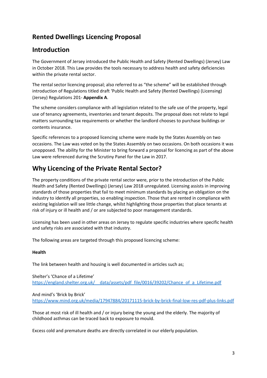# **Rented Dwellings Licencing Proposal**

### **Introduction**

The Government of Jersey introduced the Public Health and Safety (Rented Dwellings) (Jersey) Law in October 2018. This Law provides the tools necessary to address health and safety deficiencies within the private rental sector.

The rental sector licencing proposal; also referred to as "the scheme" will be established through introduction of Regulations titled draft 'Public Health and Safety (Rented Dwellings) (Licensing) (Jersey) Regulations 201- **Appendix A**.

The scheme considers compliance with all legislation related to the safe use of the property, legal use of tenancy agreements, inventories and tenant deposits. The proposal does not relate to legal matters surrounding tax requirements or whether the landlord chooses to purchase buildings or contents insurance.

Specific references to a proposed licencing scheme were made by the States Assembly on two occasions. The Law was voted on by the States Assembly on two occasions. On both occasions it was unopposed. The ability for the Minister to bring forward a proposal for licencing as part of the above Law were referenced during the Scrutiny Panel for the Law in 2017.

# **Why Licencing of the Private Rental Sector?**

The property conditions of the private rental sector were, prior to the introduction of the Public Health and Safety (Rented Dwellings) (Jersey) Law 2018 unregulated. Licensing assists in improving standards of those properties that fail to meet minimum standards by placing an obligation on the industry to identify all properties, so enabling inspection. Those that are rented in compliance with existing legislation will see little change, whilst highlighting those properties that place tenants at risk of injury or ill health and / or are subjected to poor management standards.

Licensing has been used in other areas on Jersey to regulate specific industries where specific health and safety risks are associated with that industry.

The following areas are targeted through this proposed licencing scheme:

#### **Health**

The link between health and housing is well documented in articles such as;

Shelter's 'Chance of a Lifetime' https://england.shelter.org.uk/ data/assets/pdf file/0016/39202/Chance of a Lifetime.pdf

And mind's 'Brick by Brick' <https://www.mind.org.uk/media/17947884/20171115-brick-by-brick-final-low-res-pdf-plus-links.pdf>

Those at most risk of ill health and / or injury being the young and the elderly. The majority of childhood asthmas can be traced back to exposure to mould.

Excess cold and premature deaths are directly correlated in our elderly population.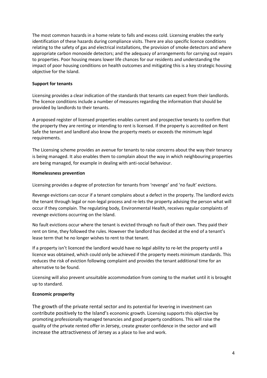The most common hazards in a home relate to falls and excess cold. Licensing enables the early identification of these hazards during compliance visits. There are also specific licence conditions relating to the safety of gas and electrical installations, the provision of smoke detectors and where appropriate carbon monoxide detectors; and the adequacy of arrangements for carrying out repairs to properties. Poor housing means lower life chances for our residents and understanding the impact of poor housing conditions on health outcomes and mitigating this is a key strategic housing objective for the Island.

#### **Support for tenants**

Licensing provides a clear indication of the standards that tenants can expect from their landlords. The licence conditions include a number of measures regarding the information that should be provided by landlords to their tenants.

A proposed register of licensed properties enables current and prospective tenants to confirm that the property they are renting or intending to rent is licensed. If the property is accredited on Rent Safe the tenant and landlord also know the property meets or exceeds the minimum legal requirements.

The Licensing scheme provides an avenue for tenants to raise concerns about the way their tenancy is being managed. It also enables them to complain about the way in which neighbouring properties are being managed, for example in dealing with anti-social behaviour.

#### **Homelessness prevention**

Licensing provides a degree of protection for tenants from 'revenge' and 'no fault' evictions.

Revenge evictions can occur if a tenant complains about a defect in the property. The landlord evicts the tenant through legal or non-legal process and re-lets the property advising the person what will occur if they complain. The regulating body, Environmental Health, receives regular complaints of revenge evictions occurring on the Island.

No fault evictions occur where the tenant is evicted through no fault of their own. They paid their rent on time, they followed the rules. However the landlord has decided at the end of a tenant's lease term that he no longer wishes to rent to that tenant.

If a property isn't licenced the landlord would have no legal ability to re-let the property until a licence was obtained, which could only be achieved if the property meets minimum standards. This reduces the risk of eviction following complaint and provides the tenant additional time for an alternative to be found.

Licensing will also prevent unsuitable accommodation from coming to the market until it is brought up to standard.

#### **Economic prosperity**

The growth of the private rental sector and its potential for levering in investment can contribute positively to the Island's economic growth. Licensing supports this objective by promoting professionally managed tenancies and good property conditions. This will raise the quality of the private rented offer in Jersey, create greater confidence in the sector and will increase the attractiveness of Jersey as a place to live and work.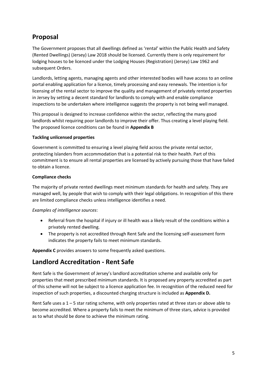### **Proposal**

The Government proposes that all dwellings defined as 'rental' within the Public Health and Safety (Rented Dwellings) (Jersey) Law 2018 should be licensed. Currently there is only requirement for lodging houses to be licenced under the Lodging Houses (Registration) (Jersey) Law 1962 and subsequent Orders.

Landlords, letting agents, managing agents and other interested bodies will have access to an online portal enabling application for a licence, timely processing and easy renewals. The intention is for licensing of the rental sector to improve the quality and management of privately rented properties in Jersey by setting a decent standard for landlords to comply with and enable compliance inspections to be undertaken where intelligence suggests the property is not being well managed.

This proposal is designed to increase confidence within the sector, reflecting the many good landlords whilst requiring poor landlords to improve their offer. Thus creating a level playing field. The proposed licence conditions can be found in **Appendix B**

#### **Tackling unlicensed properties**

Government is committed to ensuring a level playing field across the private rental sector, protecting Islanders from accommodation that is a potential risk to their health. Part of this commitment is to ensure all rental properties are licensed by actively pursuing those that have failed to obtain a licence.

#### **Compliance checks**

The majority of private rented dwellings meet minimum standards for health and safety. They are managed well, by people that wish to comply with their legal obligations. In recognition of this there are limited compliance checks unless intelligence identifies a need.

#### *Examples of intelligence sources*:

- Referral from the hospital if injury or ill health was a likely result of the conditions within a privately rented dwelling.
- The property is not accredited through Rent Safe and the licensing self-assessment form indicates the property fails to meet minimum standards.

**Appendix C** provides answers to some frequently asked questions.

# **Landlord Accreditation - Rent Safe**

Rent Safe is the Government of Jersey's landlord accreditation scheme and available only for properties that meet prescribed minimum standards. It is proposed any property accredited as part of this scheme will not be subject to a licence application fee. In recognition of the reduced need for inspection of such properties, a discounted charging structure is included as **Appendix D.**

Rent Safe uses a  $1 - 5$  star rating scheme, with only properties rated at three stars or above able to become accredited. Where a property fails to meet the minimum of three stars, advice is provided as to what should be done to achieve the minimum rating.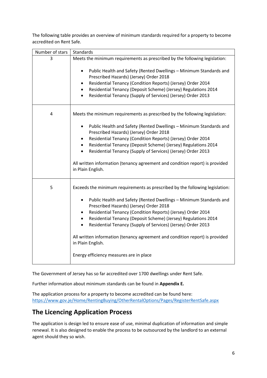The following table provides an overview of minimum standards required for a property to become accredited on Rent Safe.

| Number of stars | Standards                                                                                                                                                                                                                                                                                                                                                                                                                                                                                                                                                                             |  |
|-----------------|---------------------------------------------------------------------------------------------------------------------------------------------------------------------------------------------------------------------------------------------------------------------------------------------------------------------------------------------------------------------------------------------------------------------------------------------------------------------------------------------------------------------------------------------------------------------------------------|--|
| 3               | Meets the minimum requirements as prescribed by the following legislation:<br>Public Health and Safety (Rented Dwellings - Minimum Standards and<br>$\bullet$<br>Prescribed Hazards) (Jersey) Order 2018<br>Residential Tenancy (Condition Reports) (Jersey) Order 2014<br>٠<br>Residential Tenancy (Deposit Scheme) (Jersey) Regulations 2014<br>$\bullet$<br>Residential Tenancy (Supply of Services) (Jersey) Order 2013<br>$\bullet$                                                                                                                                              |  |
| 4               | Meets the minimum requirements as prescribed by the following legislation:<br>Public Health and Safety (Rented Dwellings - Minimum Standards and<br>$\bullet$<br>Prescribed Hazards) (Jersey) Order 2018<br>Residential Tenancy (Condition Reports) (Jersey) Order 2014<br>$\bullet$<br>Residential Tenancy (Deposit Scheme) (Jersey) Regulations 2014<br>$\bullet$<br>Residential Tenancy (Supply of Services) (Jersey) Order 2013<br>$\bullet$<br>All written information (tenancy agreement and condition report) is provided<br>in Plain English.                                 |  |
| 5               | Exceeds the minimum requirements as prescribed by the following legislation:<br>Public Health and Safety (Rented Dwellings - Minimum Standards and<br>$\bullet$<br>Prescribed Hazards) (Jersey) Order 2018<br>Residential Tenancy (Condition Reports) (Jersey) Order 2014<br>Residential Tenancy (Deposit Scheme) (Jersey) Regulations 2014<br>$\bullet$<br>Residential Tenancy (Supply of Services) (Jersey) Order 2013<br>$\bullet$<br>All written information (tenancy agreement and condition report) is provided<br>in Plain English.<br>Energy efficiency measures are in place |  |

The Government of Jersey has so far accredited over 1700 dwellings under Rent Safe.

Further information about minimum standards can be found in **Appendix E.** 

The application process for a property to become accredited can be found here: <https://www.gov.je/Home/RentingBuying/OtherRentalOptions/Pages/RegisterRentSafe.aspx>

# **The Licencing Application Process**

The application is design led to ensure ease of use, minimal duplication of information and simple renewal. It is also designed to enable the process to be outsourced by the landlord to an external agent should they so wish.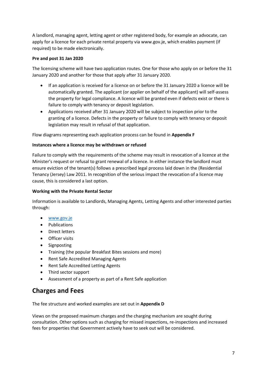A landlord, managing agent, letting agent or other registered body, for example an advocate, can apply for a licence for each private rental property via www.gov.je, which enables payment (if required) to be made electronically.

#### **Pre and post 31 Jan 2020**

The licensing scheme will have two application routes. One for those who apply on or before the 31 January 2020 and another for those that apply after 31 January 2020.

- If an application is received for a licence on or before the 31 January 2020 a licence will be automatically granted. The applicant (or applier on behalf of the applicant) will self-assess the property for legal compliance. A licence will be granted even if defects exist or there is failure to comply with tenancy or deposit legislation.
- Applications received after 31 January 2020 will be subject to inspection prior to the granting of a licence. Defects in the property or failure to comply with tenancy or deposit legislation may result in refusal of that application.

Flow diagrams representing each application process can be found in **Appendix F**

#### **Instances where a licence may be withdrawn or refused**

Failure to comply with the requirements of the scheme may result in revocation of a licence at the Minister's request or refusal to grant renewal of a licence. In either instance the landlord must ensure eviction of the tenant(s) follows a prescribed legal process laid down in the (Residential Tenancy (Jersey) Law 2011. In recognition of the serious impact the revocation of a licence may cause, this is considered a last option.

#### **Working with the Private Rental Sector**

Information is available to Landlords, Managing Agents, Letting Agents and other interested parties through:

- [www.gov.je](http://www.gov.je/)
- Publications
- Direct letters
- **•** Officer visits
- Signposting
- Training (the popular Breakfast Bites sessions and more)
- Rent Safe Accredited Managing Agents
- Rent Safe Accredited Letting Agents
- Third sector support
- Assessment of a property as part of a Rent Safe application

### **Charges and Fees**

The fee structure and worked examples are set out in **Appendix D**

Views on the proposed maximum charges and the charging mechanism are sought during consultation. Other options such as charging for missed inspections, re-inspections and increased fees for properties that Government actively have to seek out will be considered.